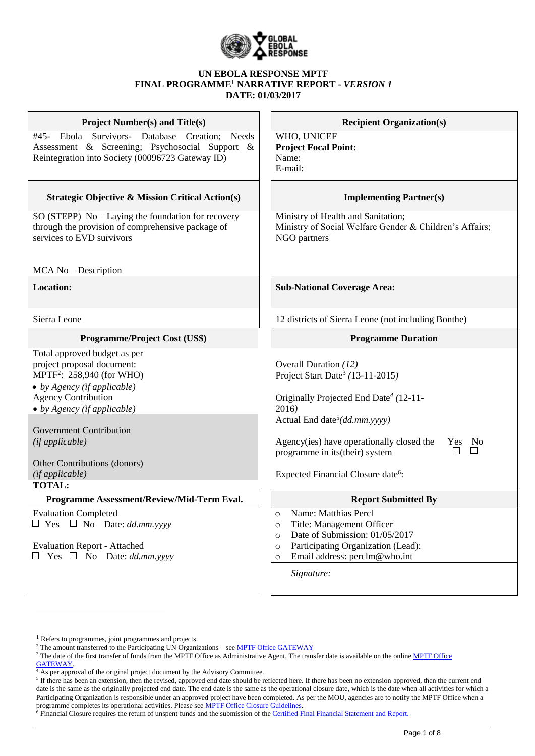

#### **UN EBOLA RESPONSE MPTF FINAL PROGRAMME<sup>1</sup> NARRATIVE REPORT -** *VERSION 1* **DATE: 01/03/2017**

| <b>Project Number(s) and Title(s)</b>                                                                                                                                                                                                                                                                                                                                          | <b>Recipient Organization(s)</b>                                                                                                                                                                                                                                                                                                                                               |
|--------------------------------------------------------------------------------------------------------------------------------------------------------------------------------------------------------------------------------------------------------------------------------------------------------------------------------------------------------------------------------|--------------------------------------------------------------------------------------------------------------------------------------------------------------------------------------------------------------------------------------------------------------------------------------------------------------------------------------------------------------------------------|
| Ebola Survivors- Database Creation; Needs<br>#45-<br>Assessment & Screening; Psychosocial Support &<br>Reintegration into Society (00096723 Gateway ID)                                                                                                                                                                                                                        | WHO, UNICEF<br><b>Project Focal Point:</b><br>Name:<br>E-mail:                                                                                                                                                                                                                                                                                                                 |
| <b>Strategic Objective &amp; Mission Critical Action(s)</b>                                                                                                                                                                                                                                                                                                                    | <b>Implementing Partner(s)</b>                                                                                                                                                                                                                                                                                                                                                 |
| SO (STEPP) No – Laying the foundation for recovery<br>through the provision of comprehensive package of<br>services to EVD survivors                                                                                                                                                                                                                                           | Ministry of Health and Sanitation;<br>Ministry of Social Welfare Gender & Children's Affairs;<br>NGO partners                                                                                                                                                                                                                                                                  |
| MCA No - Description                                                                                                                                                                                                                                                                                                                                                           |                                                                                                                                                                                                                                                                                                                                                                                |
| <b>Location:</b>                                                                                                                                                                                                                                                                                                                                                               | <b>Sub-National Coverage Area:</b>                                                                                                                                                                                                                                                                                                                                             |
| Sierra Leone                                                                                                                                                                                                                                                                                                                                                                   | 12 districts of Sierra Leone (not including Bonthe)                                                                                                                                                                                                                                                                                                                            |
| <b>Programme/Project Cost (US\$)</b>                                                                                                                                                                                                                                                                                                                                           | <b>Programme Duration</b>                                                                                                                                                                                                                                                                                                                                                      |
| Total approved budget as per<br>project proposal document:<br>MPTF <sup>2</sup> : 258,940 (for WHO)<br>• by Agency (if applicable)<br><b>Agency Contribution</b><br>$\bullet$ by Agency (if applicable)<br><b>Government Contribution</b><br>(if applicable)<br>Other Contributions (donors)<br>(if applicable)<br><b>TOTAL:</b><br>Programme Assessment/Review/Mid-Term Eval. | Overall Duration (12)<br>Project Start Date <sup>3</sup> (13-11-2015)<br>Originally Projected End Date <sup>4</sup> (12-11-<br>2016)<br>Actual End date <sup>5</sup> ( $dd$ <i>mm.yyyy)</i><br>Agency(ies) have operationally closed the<br>Yes No<br>$\Box$<br>programme in its(their) system<br>Expected Financial Closure date <sup>6</sup> :<br><b>Report Submitted By</b> |
| <b>Evaluation Completed</b>                                                                                                                                                                                                                                                                                                                                                    | Name: Matthias Percl<br>O                                                                                                                                                                                                                                                                                                                                                      |
| $\Box$ Yes $\Box$ No Date: <i>dd.mm.yyyy</i><br><b>Evaluation Report - Attached</b><br>Yes $\Box$ No Date: dd.mm.yyyy                                                                                                                                                                                                                                                          | Title: Management Officer<br>O<br>Date of Submission: 01/05/2017<br>$\circ$<br>Participating Organization (Lead):<br>$\circ$<br>Email address: perclm@who.int<br>$\circ$<br>Signature:                                                                                                                                                                                         |

[GATEWAY.](http://mdtf.undp.org/)

 $\overline{a}$ 

<sup>&</sup>lt;sup>1</sup> Refers to programmes, joint programmes and projects.

<sup>&</sup>lt;sup>2</sup> The amount transferred to the Participating UN Organizations – se[e MPTF Office GATEWAY](http://mdtf.undp.org/)

<sup>&</sup>lt;sup>3</sup> The date of the first transfer of funds from the [MPTF Office](http://mdtf.undp.org/) as Administrative Agent. The transfer date is available on the online MPTF Office

 $^{4}$  As per approval of the original project document by the Advisory Committee.

If there has been an extension, then the revised, approved end date should be reflected here. If there has been no extension approved, then the current end date is the same as the originally projected end date. The end date is the same as the operational closure date, which is the date when all activities for which a Participating Organization is responsible under an approved project have been completed. As per the MOU, agencies are to notify the MPTF Office when a programme completes its operational activities. Please see **MPTF Office Closure Guidelines**.

<sup>&</sup>lt;sup>6</sup> Financial Closure requires the return of unspent funds and the submission of th[e Certified Final Financial Statement and Report.](http://mdtf.undp.org/document/download/5388)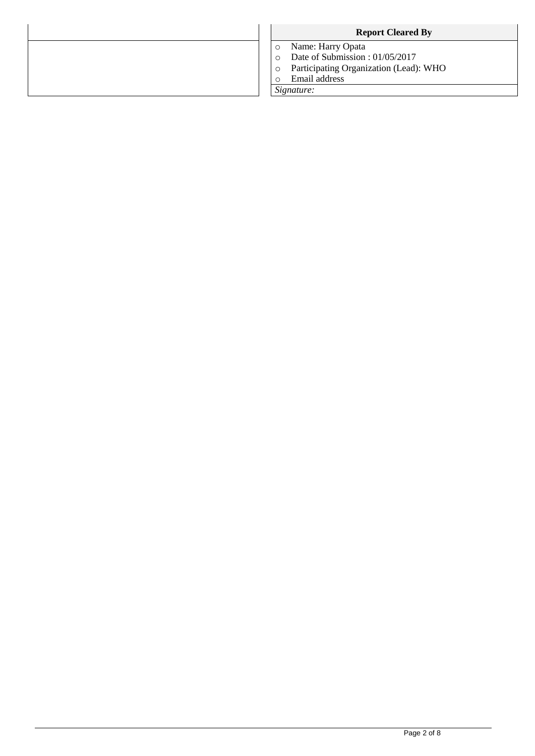| <b>Report Cleared By</b>               |
|----------------------------------------|
| Name: Harry Opata                      |
| Date of Submission: 01/05/2017         |
| Participating Organization (Lead): WHO |
| Email address                          |
| Signature:                             |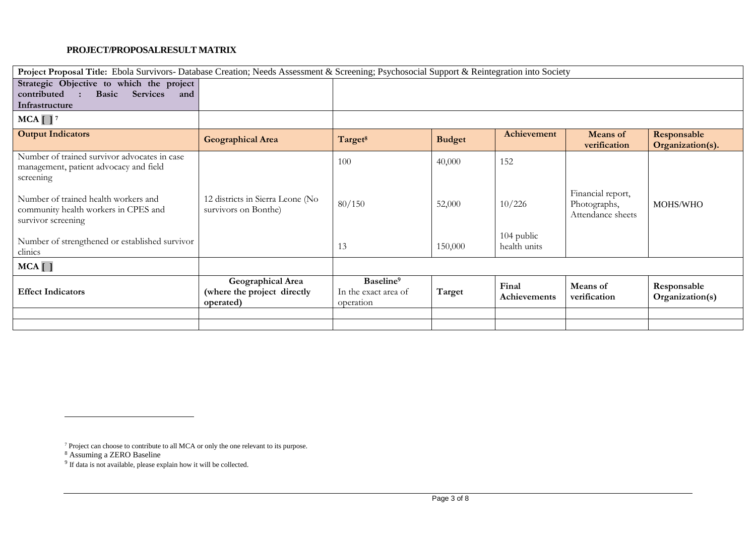#### **PROJECT/PROPOSALRESULT MATRIX**

| Project Proposal Title: Ebola Survivors- Database Creation; Needs Assessment & Screening; Psychosocial Support & Reintegration into Society |                                                               |                                                            |               |                            |                                                        |                                 |
|---------------------------------------------------------------------------------------------------------------------------------------------|---------------------------------------------------------------|------------------------------------------------------------|---------------|----------------------------|--------------------------------------------------------|---------------------------------|
| Strategic Objective to which the project<br><b>Services</b><br><b>Basic</b><br>contributed<br>and<br>Infrastructure                         |                                                               |                                                            |               |                            |                                                        |                                 |
| $MCA$ $\vert$ $\vert$ <sup>7</sup>                                                                                                          |                                                               |                                                            |               |                            |                                                        |                                 |
| <b>Output Indicators</b>                                                                                                                    | <b>Geographical Area</b>                                      | Target <sup>8</sup>                                        | <b>Budget</b> | Achievement                | Means of<br>verification                               | Responsable<br>Organization(s). |
| Number of trained survivor advocates in case<br>management, patient advocacy and field<br>screening                                         |                                                               | 100                                                        | 40,000        | 152                        |                                                        |                                 |
| Number of trained health workers and<br>community health workers in CPES and<br>survivor screening                                          | 12 districts in Sierra Leone (No<br>survivors on Bonthe)      | 80/150                                                     | 52,000        | 10/226                     | Financial report,<br>Photographs,<br>Attendance sheets | MOHS/WHO                        |
| Number of strengthened or established survivor<br>clinics                                                                                   |                                                               | 13                                                         | 150,000       | 104 public<br>health units |                                                        |                                 |
| MCA[]                                                                                                                                       |                                                               |                                                            |               |                            |                                                        |                                 |
| <b>Effect Indicators</b>                                                                                                                    | Geographical Area<br>(where the project directly<br>operated) | Baseline <sup>9</sup><br>In the exact area of<br>operation | Target        | Final<br>Achievements      | Means of<br>verification                               | Responsable<br>Organization(s)  |
|                                                                                                                                             |                                                               |                                                            |               |                            |                                                        |                                 |
|                                                                                                                                             |                                                               |                                                            |               |                            |                                                        |                                 |

 $\overline{a}$ 

 $7$  Project can choose to contribute to all MCA or only the one relevant to its purpose.

<sup>&</sup>lt;sup>8</sup> Assuming a ZERO Baseline<br><sup>9</sup> If data is not available, please explain how it will be collected.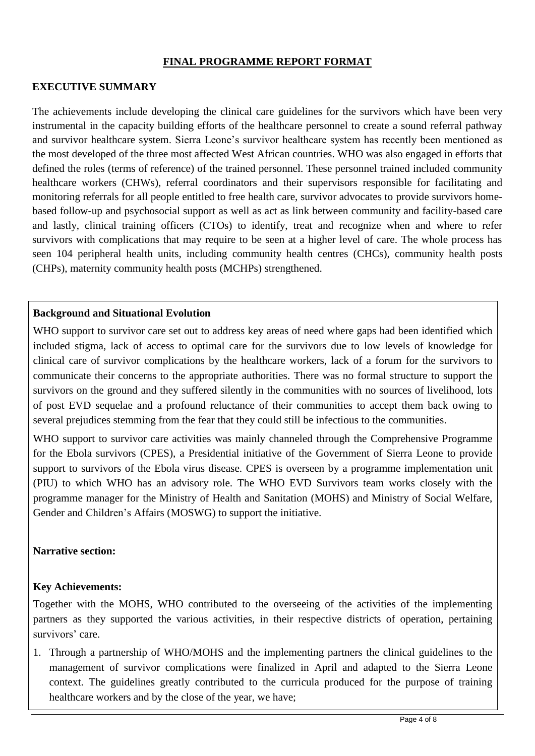## **FINAL PROGRAMME REPORT FORMAT**

## **EXECUTIVE SUMMARY**

The achievements include developing the clinical care guidelines for the survivors which have been very instrumental in the capacity building efforts of the healthcare personnel to create a sound referral pathway and survivor healthcare system. Sierra Leone's survivor healthcare system has recently been mentioned as the most developed of the three most affected West African countries. WHO was also engaged in efforts that defined the roles (terms of reference) of the trained personnel. These personnel trained included community healthcare workers (CHWs), referral coordinators and their supervisors responsible for facilitating and monitoring referrals for all people entitled to free health care, survivor advocates to provide survivors homebased follow-up and psychosocial support as well as act as link between community and facility-based care and lastly, clinical training officers (CTOs) to identify, treat and recognize when and where to refer survivors with complications that may require to be seen at a higher level of care. The whole process has seen 104 peripheral health units, including community health centres (CHCs), community health posts (CHPs), maternity community health posts (MCHPs) strengthened.

## **Background and Situational Evolution**

WHO support to survivor care set out to address key areas of need where gaps had been identified which included stigma, lack of access to optimal care for the survivors due to low levels of knowledge for clinical care of survivor complications by the healthcare workers, lack of a forum for the survivors to communicate their concerns to the appropriate authorities. There was no formal structure to support the survivors on the ground and they suffered silently in the communities with no sources of livelihood, lots of post EVD sequelae and a profound reluctance of their communities to accept them back owing to several prejudices stemming from the fear that they could still be infectious to the communities.

WHO support to survivor care activities was mainly channeled through the Comprehensive Programme for the Ebola survivors (CPES), a Presidential initiative of the Government of Sierra Leone to provide support to survivors of the Ebola virus disease. CPES is overseen by a programme implementation unit (PIU) to which WHO has an advisory role. The WHO EVD Survivors team works closely with the programme manager for the Ministry of Health and Sanitation (MOHS) and Ministry of Social Welfare, Gender and Children's Affairs (MOSWG) to support the initiative.

## **Narrative section:**

## **Key Achievements:**

Together with the MOHS, WHO contributed to the overseeing of the activities of the implementing partners as they supported the various activities, in their respective districts of operation, pertaining survivors' care.

1. Through a partnership of WHO/MOHS and the implementing partners the clinical guidelines to the management of survivor complications were finalized in April and adapted to the Sierra Leone context. The guidelines greatly contributed to the curricula produced for the purpose of training healthcare workers and by the close of the year, we have;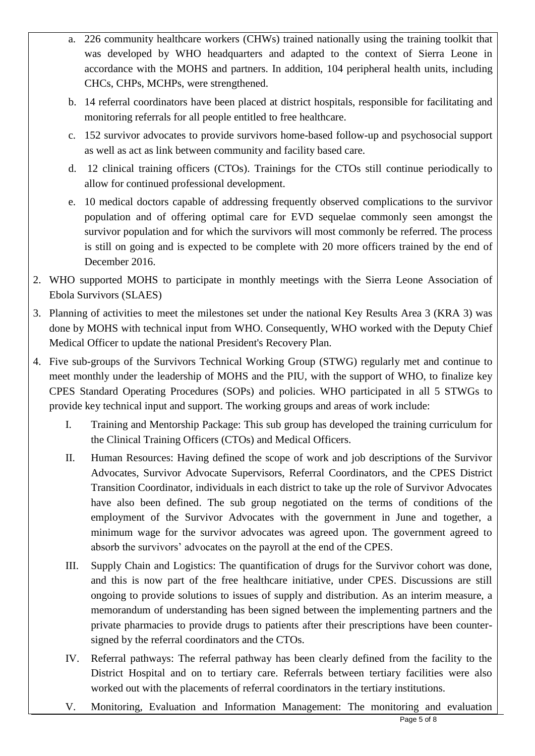- a. 226 community healthcare workers (CHWs) trained nationally using the training toolkit that was developed by WHO headquarters and adapted to the context of Sierra Leone in accordance with the MOHS and partners. In addition, 104 peripheral health units, including CHCs, CHPs, MCHPs, were strengthened.
- b. 14 referral coordinators have been placed at district hospitals, responsible for facilitating and monitoring referrals for all people entitled to free healthcare.
- c. 152 survivor advocates to provide survivors home-based follow-up and psychosocial support as well as act as link between community and facility based care.
- d. 12 clinical training officers (CTOs). Trainings for the CTOs still continue periodically to allow for continued professional development.
- e. 10 medical doctors capable of addressing frequently observed complications to the survivor population and of offering optimal care for EVD sequelae commonly seen amongst the survivor population and for which the survivors will most commonly be referred. The process is still on going and is expected to be complete with 20 more officers trained by the end of December 2016.
- 2. WHO supported MOHS to participate in monthly meetings with the Sierra Leone Association of Ebola Survivors (SLAES)
- 3. Planning of activities to meet the milestones set under the national Key Results Area 3 (KRA 3) was done by MOHS with technical input from WHO. Consequently, WHO worked with the Deputy Chief Medical Officer to update the national President's Recovery Plan.
- 4. Five sub-groups of the Survivors Technical Working Group (STWG) regularly met and continue to meet monthly under the leadership of MOHS and the PIU, with the support of WHO, to finalize key CPES Standard Operating Procedures (SOPs) and policies. WHO participated in all 5 STWGs to provide key technical input and support. The working groups and areas of work include:
	- I. Training and Mentorship Package: This sub group has developed the training curriculum for the Clinical Training Officers (CTOs) and Medical Officers.
	- II. Human Resources: Having defined the scope of work and job descriptions of the Survivor Advocates, Survivor Advocate Supervisors, Referral Coordinators, and the CPES District Transition Coordinator, individuals in each district to take up the role of Survivor Advocates have also been defined. The sub group negotiated on the terms of conditions of the employment of the Survivor Advocates with the government in June and together, a minimum wage for the survivor advocates was agreed upon. The government agreed to absorb the survivors' advocates on the payroll at the end of the CPES.
	- III. Supply Chain and Logistics: The quantification of drugs for the Survivor cohort was done, and this is now part of the free healthcare initiative, under CPES. Discussions are still ongoing to provide solutions to issues of supply and distribution. As an interim measure, a memorandum of understanding has been signed between the implementing partners and the private pharmacies to provide drugs to patients after their prescriptions have been countersigned by the referral coordinators and the CTOs.
	- IV. Referral pathways: The referral pathway has been clearly defined from the facility to the District Hospital and on to tertiary care. Referrals between tertiary facilities were also worked out with the placements of referral coordinators in the tertiary institutions.
	- V. Monitoring, Evaluation and Information Management: The monitoring and evaluation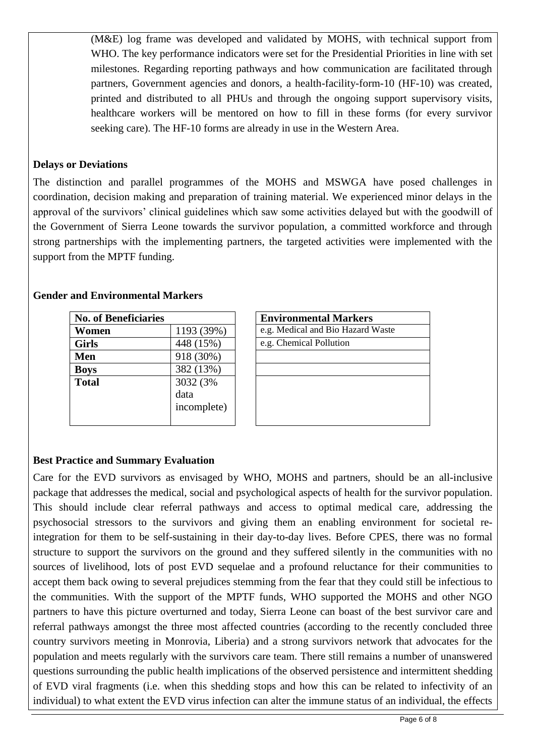(M&E) log frame was developed and validated by MOHS, with technical support from WHO. The key performance indicators were set for the Presidential Priorities in line with set milestones. Regarding reporting pathways and how communication are facilitated through partners, Government agencies and donors, a health-facility-form-10 (HF-10) was created, printed and distributed to all PHUs and through the ongoing support supervisory visits, healthcare workers will be mentored on how to fill in these forms (for every survivor seeking care). The HF-10 forms are already in use in the Western Area.

## **Delays or Deviations**

The distinction and parallel programmes of the MOHS and MSWGA have posed challenges in coordination, decision making and preparation of training material. We experienced minor delays in the approval of the survivors' clinical guidelines which saw some activities delayed but with the goodwill of the Government of Sierra Leone towards the survivor population, a committed workforce and through strong partnerships with the implementing partners, the targeted activities were implemented with the support from the MPTF funding.

# **Gender and Environmental Markers**

| <b>No. of Beneficiaries</b> |             | <b>Environmental Markers</b>      |  |
|-----------------------------|-------------|-----------------------------------|--|
| Women                       | 1193 (39%)  | e.g. Medical and Bio Hazard Waste |  |
| <b>Girls</b>                | 448 (15%)   | e.g. Chemical Pollution           |  |
| Men                         | 918 (30%)   |                                   |  |
| <b>Boys</b>                 | 382 (13%)   |                                   |  |
| <b>Total</b>                | 3032 (3%)   |                                   |  |
|                             | data        |                                   |  |
|                             | incomplete) |                                   |  |
|                             |             |                                   |  |

| <b>Environmental Markers</b>      |
|-----------------------------------|
| e.g. Medical and Bio Hazard Waste |
| e.g. Chemical Pollution           |

## **Best Practice and Summary Evaluation**

Care for the EVD survivors as envisaged by WHO, MOHS and partners, should be an all-inclusive package that addresses the medical, social and psychological aspects of health for the survivor population. This should include clear referral pathways and access to optimal medical care, addressing the psychosocial stressors to the survivors and giving them an enabling environment for societal reintegration for them to be self-sustaining in their day-to-day lives. Before CPES, there was no formal structure to support the survivors on the ground and they suffered silently in the communities with no sources of livelihood, lots of post EVD sequelae and a profound reluctance for their communities to accept them back owing to several prejudices stemming from the fear that they could still be infectious to the communities. With the support of the MPTF funds, WHO supported the MOHS and other NGO partners to have this picture overturned and today, Sierra Leone can boast of the best survivor care and referral pathways amongst the three most affected countries (according to the recently concluded three country survivors meeting in Monrovia, Liberia) and a strong survivors network that advocates for the population and meets regularly with the survivors care team. There still remains a number of unanswered questions surrounding the public health implications of the observed persistence and intermittent shedding of EVD viral fragments (i.e. when this shedding stops and how this can be related to infectivity of an individual) to what extent the EVD virus infection can alter the immune status of an individual, the effects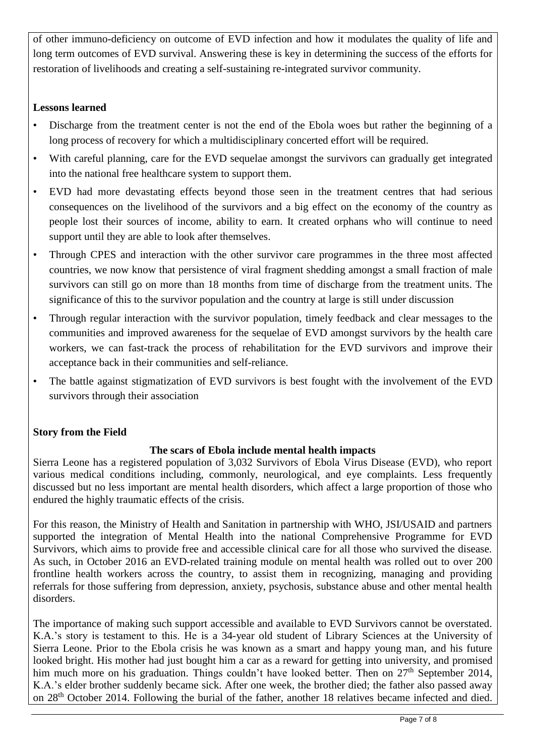of other immuno-deficiency on outcome of EVD infection and how it modulates the quality of life and long term outcomes of EVD survival. Answering these is key in determining the success of the efforts for restoration of livelihoods and creating a self-sustaining re-integrated survivor community.

## **Lessons learned**

- Discharge from the treatment center is not the end of the Ebola woes but rather the beginning of a long process of recovery for which a multidisciplinary concerted effort will be required.
- With careful planning, care for the EVD sequelae amongst the survivors can gradually get integrated into the national free healthcare system to support them.
- EVD had more devastating effects beyond those seen in the treatment centres that had serious consequences on the livelihood of the survivors and a big effect on the economy of the country as people lost their sources of income, ability to earn. It created orphans who will continue to need support until they are able to look after themselves.
- Through CPES and interaction with the other survivor care programmes in the three most affected countries, we now know that persistence of viral fragment shedding amongst a small fraction of male survivors can still go on more than 18 months from time of discharge from the treatment units. The significance of this to the survivor population and the country at large is still under discussion
- Through regular interaction with the survivor population, timely feedback and clear messages to the communities and improved awareness for the sequelae of EVD amongst survivors by the health care workers, we can fast-track the process of rehabilitation for the EVD survivors and improve their acceptance back in their communities and self-reliance.
- The battle against stigmatization of EVD survivors is best fought with the involvement of the EVD survivors through their association

# **Story from the Field**

## **The scars of Ebola include mental health impacts**

Sierra Leone has a registered population of 3,032 Survivors of Ebola Virus Disease (EVD), who report various medical conditions including, commonly, neurological, and eye complaints. Less frequently discussed but no less important are mental health disorders, which affect a large proportion of those who endured the highly traumatic effects of the crisis.

For this reason, the Ministry of Health and Sanitation in partnership with WHO, JSI/USAID and partners supported the integration of Mental Health into the national Comprehensive Programme for EVD Survivors, which aims to provide free and accessible clinical care for all those who survived the disease. As such, in October 2016 an EVD-related training module on mental health was rolled out to over 200 frontline health workers across the country, to assist them in recognizing, managing and providing referrals for those suffering from depression, anxiety, psychosis, substance abuse and other mental health disorders.

The importance of making such support accessible and available to EVD Survivors cannot be overstated. K.A.'s story is testament to this. He is a 34-year old student of Library Sciences at the University of Sierra Leone. Prior to the Ebola crisis he was known as a smart and happy young man, and his future looked bright. His mother had just bought him a car as a reward for getting into university, and promised him much more on his graduation. Things couldn't have looked better. Then on 27<sup>th</sup> September 2014, K.A.'s elder brother suddenly became sick. After one week, the brother died; the father also passed away on 28<sup>th</sup> October 2014. Following the burial of the father, another 18 relatives became infected and died.